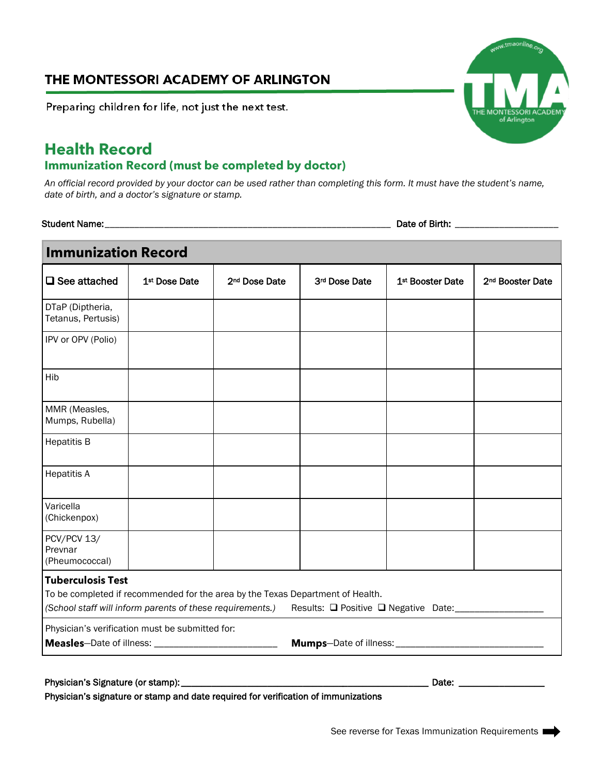## THE MONTESSORI ACADEMY OF ARLINGTON

Preparing children for life, not just the next test.

## **Health Record Immunization Record (must be completed by doctor)**

*An official record provided by your doctor can be used rather than completing this form. It must have the student's name, date of birth, and a doctor's signature or stamp.*

Student Name:\_\_\_\_\_\_\_\_\_\_\_\_\_\_\_\_\_\_\_\_\_\_\_\_\_\_\_\_\_\_\_\_\_\_\_\_\_\_\_\_\_\_\_\_\_\_\_\_\_\_\_\_\_\_\_\_\_\_ Date of Birth: \_\_\_\_\_\_\_\_\_\_\_\_\_\_\_\_\_\_\_\_\_

| <b>Immunization Record</b>               |                                                                                                                                             |                           |               |                                              |                              |
|------------------------------------------|---------------------------------------------------------------------------------------------------------------------------------------------|---------------------------|---------------|----------------------------------------------|------------------------------|
| $\square$ See attached                   | 1 <sup>st</sup> Dose Date                                                                                                                   | 2 <sup>nd</sup> Dose Date | 3rd Dose Date | 1 <sup>st</sup> Booster Date                 | 2 <sup>nd</sup> Booster Date |
| DTaP (Diptheria,<br>Tetanus, Pertusis)   |                                                                                                                                             |                           |               |                                              |                              |
| IPV or OPV (Polio)                       |                                                                                                                                             |                           |               |                                              |                              |
| Hib                                      |                                                                                                                                             |                           |               |                                              |                              |
| MMR (Measles,<br>Mumps, Rubella)         |                                                                                                                                             |                           |               |                                              |                              |
| <b>Hepatitis B</b>                       |                                                                                                                                             |                           |               |                                              |                              |
| <b>Hepatitis A</b>                       |                                                                                                                                             |                           |               |                                              |                              |
| Varicella<br>(Chickenpox)                |                                                                                                                                             |                           |               |                                              |                              |
| PCV/PCV 13/<br>Prevnar<br>(Pheumococcal) |                                                                                                                                             |                           |               |                                              |                              |
| <b>Tuberculosis Test</b>                 | To be completed if recommended for the area by the Texas Department of Health.<br>(School staff will inform parents of these requirements.) |                           |               | Results: □ Positive □ Negative Date:________ |                              |
|                                          | Physician's verification must be submitted for:                                                                                             |                           |               |                                              |                              |
| Physician's Signature (or stamp):        |                                                                                                                                             |                           |               | Date:                                        |                              |

Physician's signature or stamp and date required for verification of immunizations